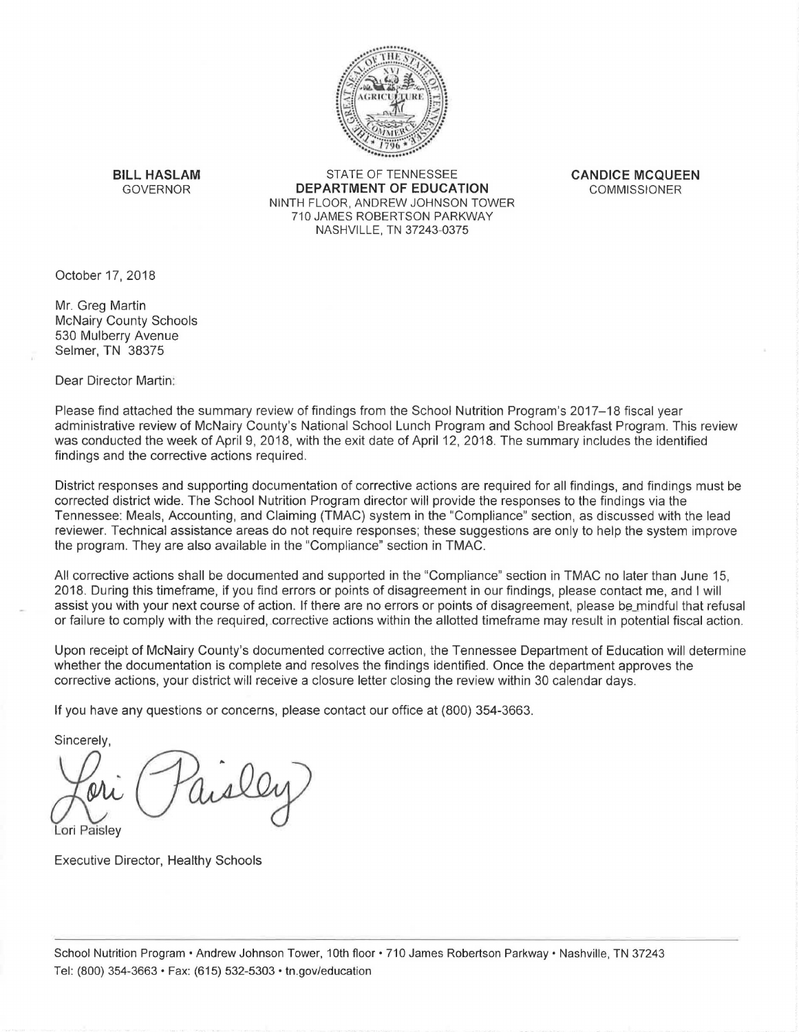

**BILL HASLAM** STATE OF TENNESSEE **CANDICE MCQUEEN DEPARTMENT OF EDUCATION** COMMISSIONER NINTH FLOOR, ANDREW JOHNSON TOWER 710 JAMES ROBERTSON PARKWAY NASHVILLE, TN 37243-0375

October 17, 2018

Mr. Greg Martin McNairy County Schools 530 Mulberry Avenue Selmer, TN 38375

Dear Director Martin:

Please find attached the summary review of findings from the School Nutrition Program's 2017-18 fiscal year administrative review of McNairy County's National School Lunch Program and School Breakfast Program. This review was conducted the week of April 9, 2018, with the exit date of April 12, 2018. The summary includes the identified findings and the corrective actions required.

District responses and supporting documentation of corrective actions are required for all findings, and findings must be corrected district wide. The School Nutrition Program director will provide the responses to the findings via the Tennessee: Meals, Accounting, and Claiming (TMAC) system in the "Compliance" section, as discussed with the lead reviewer. Technical assistance areas do not require responses; these suggestions are only to help the system improve the program. They are also available in the "Compliance" section in TMAC.

All corrective actions shall be documented and supported in the "Compliance" section in TMAC no later than June 15, 2018. During this timeframe, if you find errors or points of disagreement in our findings, please contact me, and I will assist you with your next course of action. If there are no errors or points of disagreement, please be mindful that refusal or failure to comply with the required, .corrective actions within the allotted timeframe may result in potential fiscal action.

Upon receipt of McNairy County's documented corrective action, the Tennessee Department of Education will determine whether the documentation is complete and resolves the findings identified. Once the department approves the corrective actions, your district will receive a closure letter closing the review within 30 calendar days.

If you have any questions or concerns, please contact our office at (800) 354-3663.

Sincerely.

Lori Paisley

Executive Director, Healthy Schools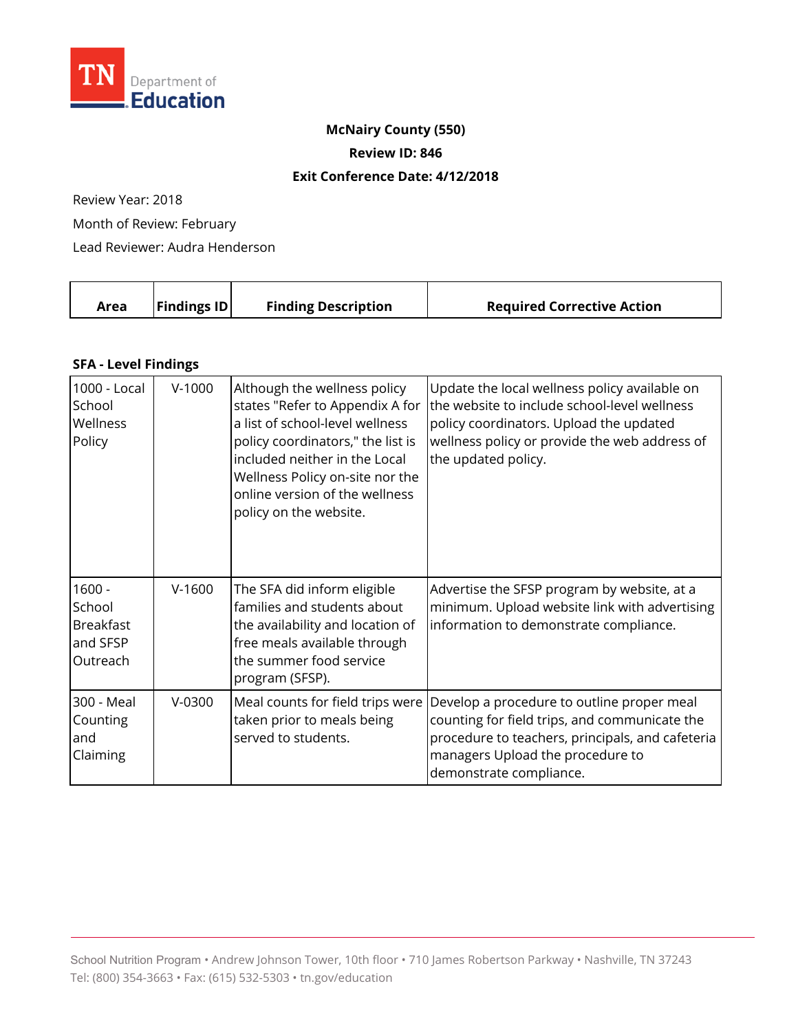

## **McNairy County (550)**

**Review ID: 846** 

## **Exit Conference Date: 4/12/2018**

Review Year: 2018

Month of Review: February

Lead Reviewer: Audra Henderson

| $\vert$ Findings ID $\vert$<br><b>Finding Description</b><br><b>Required Corrective Action</b><br>Area |  |  |  |
|--------------------------------------------------------------------------------------------------------|--|--|--|
|--------------------------------------------------------------------------------------------------------|--|--|--|

## **SFA - Level Findings**

| 1000 - Local<br>School<br>Wellness<br>Policy                   | $V-1000$ | Although the wellness policy<br>states "Refer to Appendix A for<br>a list of school-level wellness<br>policy coordinators," the list is<br>included neither in the Local<br>Wellness Policy on-site nor the<br>online version of the wellness<br>policy on the website. | Update the local wellness policy available on<br>the website to include school-level wellness<br>policy coordinators. Upload the updated<br>wellness policy or provide the web address of<br>the updated policy. |
|----------------------------------------------------------------|----------|-------------------------------------------------------------------------------------------------------------------------------------------------------------------------------------------------------------------------------------------------------------------------|------------------------------------------------------------------------------------------------------------------------------------------------------------------------------------------------------------------|
| $1600 -$<br>School<br><b>Breakfast</b><br>and SFSP<br>Outreach | $V-1600$ | The SFA did inform eligible<br>families and students about<br>the availability and location of<br>free meals available through<br>the summer food service<br>program (SFSP).                                                                                            | Advertise the SFSP program by website, at a<br>minimum. Upload website link with advertising<br>information to demonstrate compliance.                                                                           |
| 300 - Meal<br>Counting<br>land<br>Claiming                     | $V-0300$ | Meal counts for field trips were<br>taken prior to meals being<br>served to students.                                                                                                                                                                                   | Develop a procedure to outline proper meal<br>counting for field trips, and communicate the<br>procedure to teachers, principals, and cafeteria<br>managers Upload the procedure to<br>demonstrate compliance.   |